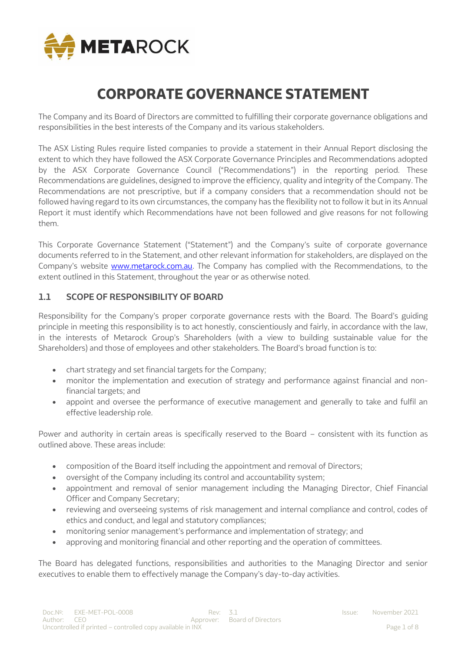

# **CORPORATE GOVERNANCE STATEMENT**

The Company and its Board of Directors are committed to fulfilling their corporate governance obligations and responsibilities in the best interests of the Company and its various stakeholders.

The ASX Listing Rules require listed companies to provide a statement in their Annual Report disclosing the extent to which they have followed the ASX Corporate Governance Principles and Recommendations adopted by the ASX Corporate Governance Council ("Recommendations") in the reporting period. These Recommendations are guidelines, designed to improve the efficiency, quality and integrity of the Company. The Recommendations are not prescriptive, but if a company considers that a recommendation should not be followed having regard to its own circumstances, the company has the flexibility not to follow it but in its Annual Report it must identify which Recommendations have not been followed and give reasons for not following them.

This Corporate Governance Statement ("Statement") and the Company's suite of corporate governance documents referred to in the Statement, and other relevant information for stakeholders, are displayed on the Company's website **www.metarock.com.au**. The Company has complied with the Recommendations, to the extent outlined in this Statement, throughout the year or as otherwise noted.

## **1.1 SCOPE OF RESPONSIBILITY OF BOARD**

Responsibility for the Company's proper corporate governance rests with the Board. The Board's guiding principle in meeting this responsibility is to act honestly, conscientiously and fairly, in accordance with the law, in the interests of Metarock Group's Shareholders (with a view to building sustainable value for the Shareholders) and those of employees and other stakeholders. The Board's broad function is to:

- chart strategy and set financial targets for the Company;
- monitor the implementation and execution of strategy and performance against financial and nonfinancial targets; and
- appoint and oversee the performance of executive management and generally to take and fulfil an effective leadership role.

Power and authority in certain areas is specifically reserved to the Board – consistent with its function as outlined above. These areas include:

- composition of the Board itself including the appointment and removal of Directors;
- oversight of the Company including its control and accountability system;
- appointment and removal of senior management including the Managing Director, Chief Financial Officer and Company Secretary;
- reviewing and overseeing systems of risk management and internal compliance and control, codes of ethics and conduct, and legal and statutory compliances;
- monitoring senior management's performance and implementation of strategy; and
- approving and monitoring financial and other reporting and the operation of committees.

The Board has delegated functions, responsibilities and authorities to the Managing Director and senior executives to enable them to effectively manage the Company's day-to-day activities.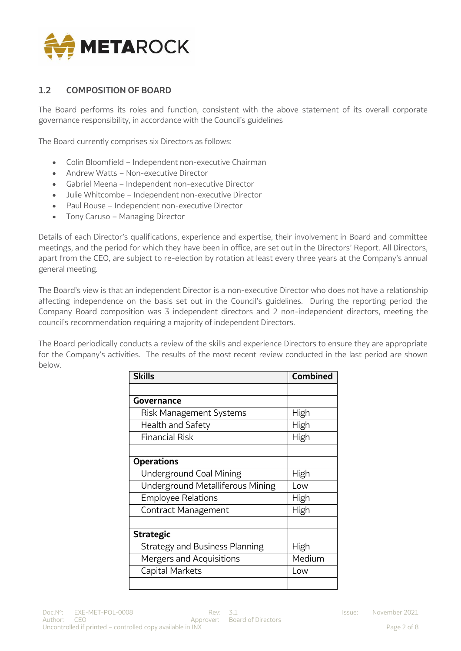

# **1.2 COMPOSITION OF BOARD**

The Board performs its roles and function, consistent with the above statement of its overall corporate governance responsibility, in accordance with the Council's guidelines

The Board currently comprises six Directors as follows:

- Colin Bloomfield Independent non-executive Chairman
- Andrew Watts Non-executive Director
- Gabriel Meena Independent non-executive Director
- Julie Whitcombe Independent non-executive Director
- Paul Rouse Independent non-executive Director
- Tony Caruso Managing Director

Details of each Director's qualifications, experience and expertise, their involvement in Board and committee meetings, and the period for which they have been in office, are set out in the Directors' Report. All Directors, apart from the CEO, are subject to re-election by rotation at least every three years at the Company's annual general meeting.

The Board's view is that an independent Director is a non-executive Director who does not have a relationship affecting independence on the basis set out in the Council's guidelines. During the reporting period the Company Board composition was 3 independent directors and 2 non-independent directors, meeting the council's recommendation requiring a majority of independent Directors.

The Board periodically conducts a review of the skills and experience Directors to ensure they are appropriate for the Company's activities. The results of the most recent review conducted in the last period are shown below.

| <b>Skills</b>                         | <b>Combined</b> |
|---------------------------------------|-----------------|
|                                       |                 |
| Governance                            |                 |
| Risk Management Systems               | High            |
| Health and Safety                     | High            |
| <b>Financial Risk</b>                 | High            |
|                                       |                 |
| <b>Operations</b>                     |                 |
| <b>Underground Coal Mining</b>        | High            |
| Underground Metalliferous Mining      | Low             |
| <b>Employee Relations</b>             | High            |
| Contract Management                   | High            |
|                                       |                 |
| <b>Strategic</b>                      |                 |
| <b>Strategy and Business Planning</b> | High            |
| Mergers and Acquisitions              | Medium          |
| Capital Markets                       | Low             |
|                                       |                 |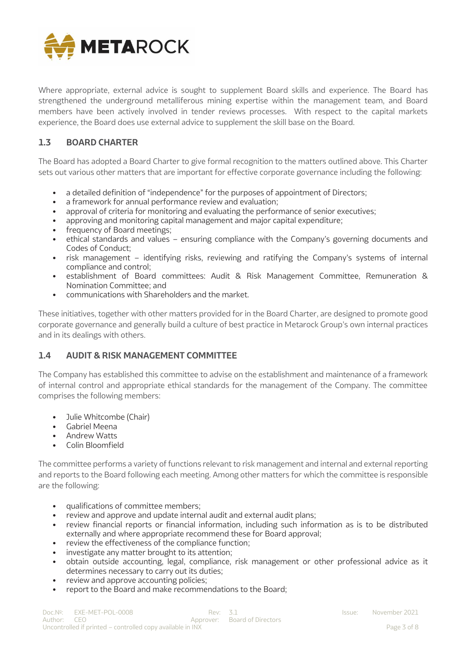

Where appropriate, external advice is sought to supplement Board skills and experience. The Board has strengthened the underground metalliferous mining expertise within the management team, and Board members have been actively involved in tender reviews processes. With respect to the capital markets experience, the Board does use external advice to supplement the skill base on the Board.

# **1.3 BOARD CHARTER**

The Board has adopted a Board Charter to give formal recognition to the matters outlined above. This Charter sets out various other matters that are important for effective corporate governance including the following:

- a detailed definition of "independence" for the purposes of appointment of Directors;
- a framework for annual performance review and evaluation:
- approval of criteria for monitoring and evaluating the performance of senior executives;
- approving and monitoring capital management and major capital expenditure;
- frequency of Board meetings:
- ethical standards and values ensuring compliance with the Company's governing documents and Codes of Conduct;
- risk management identifying risks, reviewing and ratifying the Company's systems of internal compliance and control;
- establishment of Board committees: Audit & Risk Management Committee, Remuneration & Nomination Committee; and
- communications with Shareholders and the market.

These initiatives, together with other matters provided for in the Board Charter, are designed to promote good corporate governance and generally build a culture of best practice in Metarock Group's own internal practices and in its dealings with others.

## **1.4 AUDIT & RISK MANAGEMENT COMMITTEE**

The Company has established this committee to advise on the establishment and maintenance of a framework of internal control and appropriate ethical standards for the management of the Company. The committee comprises the following members:

- Julie Whitcombe (Chair)
- Gabriel Meena
- Andrew Watts
- Colin Bloomfield

The committee performs a variety of functions relevant to risk management and internal and external reporting and reports to the Board following each meeting. Among other matters for which the committee is responsible are the following:

- qualifications of committee members;
- review and approve and update internal audit and external audit plans;
- review financial reports or financial information, including such information as is to be distributed externally and where appropriate recommend these for Board approval;
- review the effectiveness of the compliance function;
- investigate any matter brought to its attention;
- obtain outside accounting, legal, compliance, risk management or other professional advice as it determines necessary to carry out its duties;
- review and approve accounting policies;
- report to the Board and make recommendations to the Board;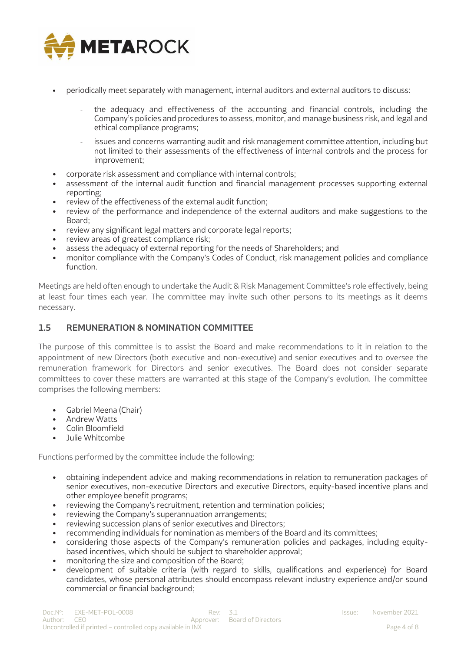

- periodically meet separately with management, internal auditors and external auditors to discuss:
	- the adequacy and effectiveness of the accounting and financial controls, including the Company's policies and procedures to assess, monitor, and manage business risk, and legal and ethical compliance programs;
	- issues and concerns warranting audit and risk management committee attention, including but not limited to their assessments of the effectiveness of internal controls and the process for improvement;
- corporate risk assessment and compliance with internal controls;
- assessment of the internal audit function and financial management processes supporting external reporting;
- review of the effectiveness of the external audit function;
- review of the performance and independence of the external auditors and make suggestions to the Board;
- review any significant legal matters and corporate legal reports;
- review areas of greatest compliance risk;
- assess the adequacy of external reporting for the needs of Shareholders; and
- monitor compliance with the Company's Codes of Conduct, risk management policies and compliance function.

Meetings are held often enough to undertake the Audit & Risk Management Committee's role effectively, being at least four times each year. The committee may invite such other persons to its meetings as it deems necessary.

## **1.5 REMUNERATION & NOMINATION COMMITTEE**

The purpose of this committee is to assist the Board and make recommendations to it in relation to the appointment of new Directors (both executive and non-executive) and senior executives and to oversee the remuneration framework for Directors and senior executives. The Board does not consider separate committees to cover these matters are warranted at this stage of the Company's evolution. The committee comprises the following members:

- Gabriel Meena (Chair)
- Andrew Watts
- Colin Bloomfield
- Julie Whitcombe

Functions performed by the committee include the following:

- obtaining independent advice and making recommendations in relation to remuneration packages of senior executives, non-executive Directors and executive Directors, equity-based incentive plans and other employee benefit programs;
- reviewing the Company's recruitment, retention and termination policies;
- reviewing the Company's superannuation arrangements;
- reviewing succession plans of senior executives and Directors;
- recommending individuals for nomination as members of the Board and its committees;
- considering those aspects of the Company's remuneration policies and packages, including equitybased incentives, which should be subject to shareholder approval;
- monitoring the size and composition of the Board;
- development of suitable criteria (with regard to skills, qualifications and experience) for Board candidates, whose personal attributes should encompass relevant industry experience and/or sound commercial or financial background;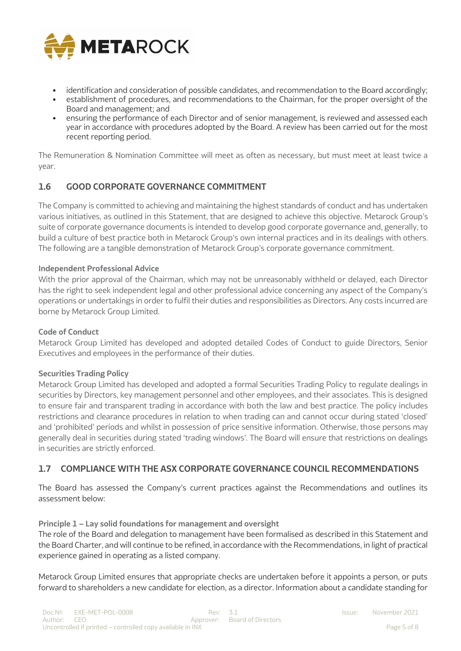

- identification and consideration of possible candidates, and recommendation to the Board accordingly;
- establishment of procedures, and recommendations to the Chairman, for the proper oversight of the Board and management; and
- ensuring the performance of each Director and of senior management, is reviewed and assessed each year in accordance with procedures adopted by the Board. A review has been carried out for the most recent reporting period.

The Remuneration & Nomination Committee will meet as often as necessary, but must meet at least twice a year.

# **1.6 GOOD CORPORATE GOVERNANCE COMMITMENT**

The Company is committed to achieving and maintaining the highest standards of conduct and has undertaken various initiatives, as outlined in this Statement, that are designed to achieve this objective. Metarock Group's suite of corporate governance documents is intended to develop good corporate governance and, generally, to build a culture of best practice both in Metarock Group's own internal practices and in its dealings with others. The following are a tangible demonstration of Metarock Group's corporate governance commitment.

## **Independent Professional Advice**

With the prior approval of the Chairman, which may not be unreasonably withheld or delayed, each Director has the right to seek independent legal and other professional advice concerning any aspect of the Company's operations or undertakings in order to fulfil their duties and responsibilities as Directors. Any costs incurred are borne by Metarock Group Limited.

## **Code of Conduct**

Metarock Group Limited has developed and adopted detailed Codes of Conduct to guide Directors, Senior Executives and employees in the performance of their duties.

## **Securities Trading Policy**

Metarock Group Limited has developed and adopted a formal Securities Trading Policy to regulate dealings in securities by Directors, key management personnel and other employees, and their associates. This is designed to ensure fair and transparent trading in accordance with both the law and best practice. The policy includes restrictions and clearance procedures in relation to when trading can and cannot occur during stated 'closed' and 'prohibited' periods and whilst in possession of price sensitive information. Otherwise, those persons may generally deal in securities during stated 'trading windows'. The Board will ensure that restrictions on dealings in securities are strictly enforced.

## **1.7 COMPLIANCE WITH THE ASX CORPORATE GOVERNANCE COUNCIL RECOMMENDATIONS**

The Board has assessed the Company's current practices against the Recommendations and outlines its assessment below:

#### **Principle 1 – Lay solid foundations for management and oversight**

The role of the Board and delegation to management have been formalised as described in this Statement and the Board Charter, and will continue to be refined, in accordance with the Recommendations, in light of practical experience gained in operating as a listed company.

Metarock Group Limited ensures that appropriate checks are undertaken before it appoints a person, or puts forward to shareholders a new candidate for election, as a director. Information about a candidate standing for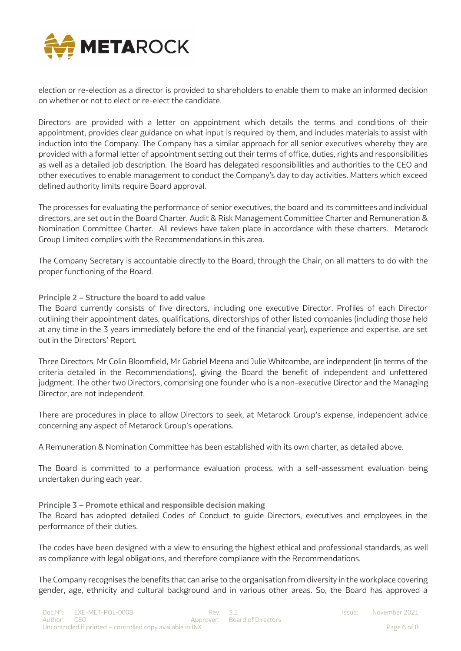

election or re-election as a director is provided to shareholders to enable them to make an informed decision on whether or not to elect or re-elect the candidate.

Directors are provided with a letter on appointment which details the terms and conditions of their appointment, provides clear guidance on what input is required by them, and includes materials to assist with induction into the Company. The Company has a similar approach for all senior executives whereby they are provided with a formal letter of appointment setting out their terms of office, duties, rights and responsibilities as well as a detailed job description. The Board has delegated responsibilities and authorities to the CEO and other executives to enable management to conduct the Company's day to day activities. Matters which exceed defined authority limits require Board approval.

The processes for evaluating the performance of senior executives, the board and its committees and individual directors, are set out in the Board Charter, Audit & Risk Management Committee Charter and Remuneration & Nomination Committee Charter. All reviews have taken place in accordance with these charters. Metarock Group Limited complies with the Recommendations in this area.

The Company Secretary is accountable directly to the Board, through the Chair, on all matters to do with the proper functioning of the Board.

**Principle 2 – Structure the board to add value**

The Board currently consists of five directors, including one executive Director. Profiles of each Director outlining their appointment dates, qualifications, directorships of other listed companies (including those held at any time in the 3 years immediately before the end of the financial year), experience and expertise, are set out in the Directors' Report.

Three Directors, Mr Colin Bloomfield, Mr Gabriel Meena and Julie Whitcombe, are independent (in terms of the criteria detailed in the Recommendations), giving the Board the benefit of independent and unfettered judgment. The other two Directors, comprising one founder who is a non-executive Director and the Managing Director, are not independent.

There are procedures in place to allow Directors to seek, at Metarock Group's expense, independent advice concerning any aspect of Metarock Group's operations.

A Remuneration & Nomination Committee has been established with its own charter, as detailed above.

The Board is committed to a performance evaluation process, with a self-assessment evaluation being undertaken during each year.

**Principle 3 – Promote ethical and responsible decision making** The Board has adopted detailed Codes of Conduct to guide Directors, executives and employees in the performance of their duties.

The codes have been designed with a view to ensuring the highest ethical and professional standards, as well as compliance with legal obligations, and therefore compliance with the Recommendations.

The Company recognises the benefits that can arise to the organisation from diversity in the workplace covering gender, age, ethnicity and cultural background and in various other areas. So, the Board has approved a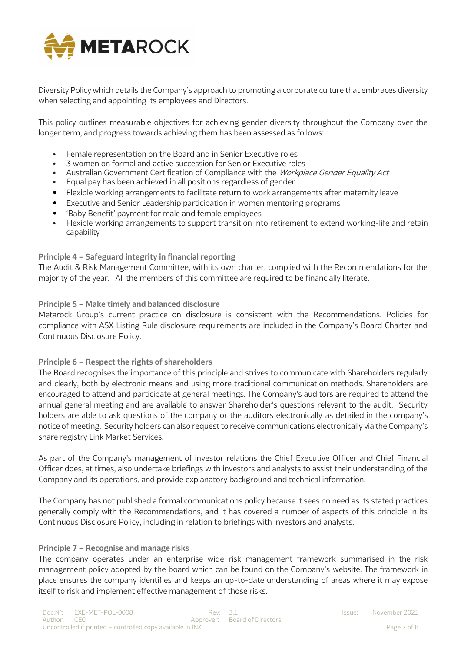

Diversity Policy which details the Company's approach to promoting a corporate culture that embraces diversity when selecting and appointing its employees and Directors.

This policy outlines measurable objectives for achieving gender diversity throughout the Company over the longer term, and progress towards achieving them has been assessed as follows:

- Female representation on the Board and in Senior Executive roles
- 3 women on formal and active succession for Senior Executive roles
- Australian Government Certification of Compliance with the Workplace Gender Equality Act
- Equal pay has been achieved in all positions regardless of gender
- Flexible working arrangements to facilitate return to work arrangements after maternity leave
- Executive and Senior Leadership participation in women mentoring programs
- 'Baby Benefit' payment for male and female employees
- Flexible working arrangements to support transition into retirement to extend working-life and retain capability

#### **Principle 4 – Safeguard integrity in financial reporting**

The Audit & Risk Management Committee, with its own charter, complied with the Recommendations for the majority of the year. All the members of this committee are required to be financially literate.

#### **Principle 5 – Make timely and balanced disclosure**

Metarock Group's current practice on disclosure is consistent with the Recommendations. Policies for compliance with ASX Listing Rule disclosure requirements are included in the Company's Board Charter and Continuous Disclosure Policy.

## **Principle 6 – Respect the rights of shareholders**

The Board recognises the importance of this principle and strives to communicate with Shareholders regularly and clearly, both by electronic means and using more traditional communication methods. Shareholders are encouraged to attend and participate at general meetings. The Company's auditors are required to attend the annual general meeting and are available to answer Shareholder's questions relevant to the audit. Security holders are able to ask questions of the company or the auditors electronically as detailed in the company's notice of meeting. Security holders can also request to receive communications electronically via the Company's share registry Link Market Services.

As part of the Company's management of investor relations the Chief Executive Officer and Chief Financial Officer does, at times, also undertake briefings with investors and analysts to assist their understanding of the Company and its operations, and provide explanatory background and technical information.

The Company has not published a formal communications policy because it sees no need as its stated practices generally comply with the Recommendations, and it has covered a number of aspects of this principle in its Continuous Disclosure Policy, including in relation to briefings with investors and analysts.

#### **Principle 7 – Recognise and manage risks**

The company operates under an enterprise wide risk management framework summarised in the risk management policy adopted by the board which can be found on the Company's website. The framework in place ensures the company identifies and keeps an up-to-date understanding of areas where it may expose itself to risk and implement effective management of those risks.